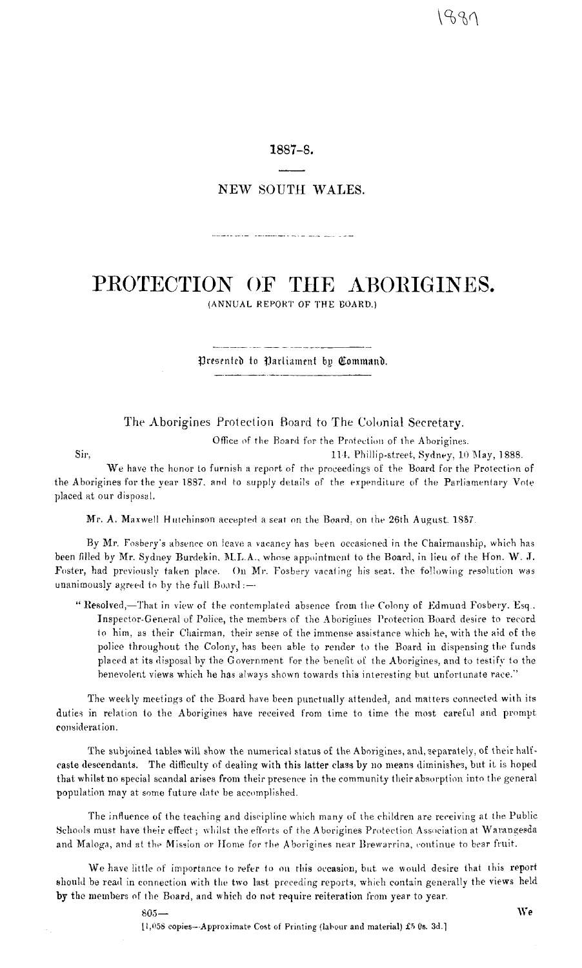## 1887-8.

## NEW SOUTH WALES.

## PROTECTION OF THE ABORIGINES. (ANNUAL REPORT OF THE BOARD.)

Presented to Parliament by Command.

The Aborigines Protection Board to The Colonial Secretary.

Office of the Board for the Protection of the Aborigines.

Sir, 114, Phillip-street, Sydney, 10 May, 1888.

We have the honor to furnish a report of the proceedings of the Board for the Protection of the Aborigines for the year 1887. and to supply details of the expenditure of the Parliamentary Vote placed at our disposal.

Mr. A. Maxwell Hutchinson accepted a seat on the Board, on the 26th August. 1887.

By Mr. Fosbery's absence on leave a vacancy has been occasioned in the Chairmanship, which has been filled by Mr. Sydney Burdekin, M.L.A., whose appointment to the Board, in lieu of the Hon. W. J. Foster, had previously taken place. On Mr. Fosbery vacating his seat, the following resolution was unanimously agreed to by the full Board :-

" Resolved,—That in view of the contemplated absence from the Colony of Edmund Fosbery. Esq.. Inspector-General of Police, the members of the Aborigines Protection Board desire to record to him, as their Chairman, their sense of the immense assistance which he, with the aid of the police throughout the Colony, has been able to render to the Board in dispensing the funds placed at its disposal by the Government for the benefit of the Aborigines, and to testify to the benevolent views which he has always shown towards this interesting but unfortunate race."

The weekly meetings of the Board have been punctually attended, and matters connected with its duties in relation to the Aborigines have received from time to time the most careful and prompt consideration.

The subjoined tables will show the numerical status of the Aborigines, and, separately, of their halfcaste descendants. The difficulty of dealing with this latter class by no means diminishes, but it is hoped that whilst no special scandal arises from their presence in the community their absorption into the general population may at some future date be accomplished.

The influence of the teaching and discipline which many of the children are receiving at the Public Schools must have their effect; whilst the efforts of the A borigines Protection Association at Warangesda and Maloga, and at the Mission or Home for the Aborigines near Brewarrina, continue to bear fruit.

We have little of importance to refer to on this occasion, but we would desire that this report should be read in connection with the two last preceding reports, which contain generally the views held by the members of the Board, and which do not require reiteration from year to year.

 $805$ — We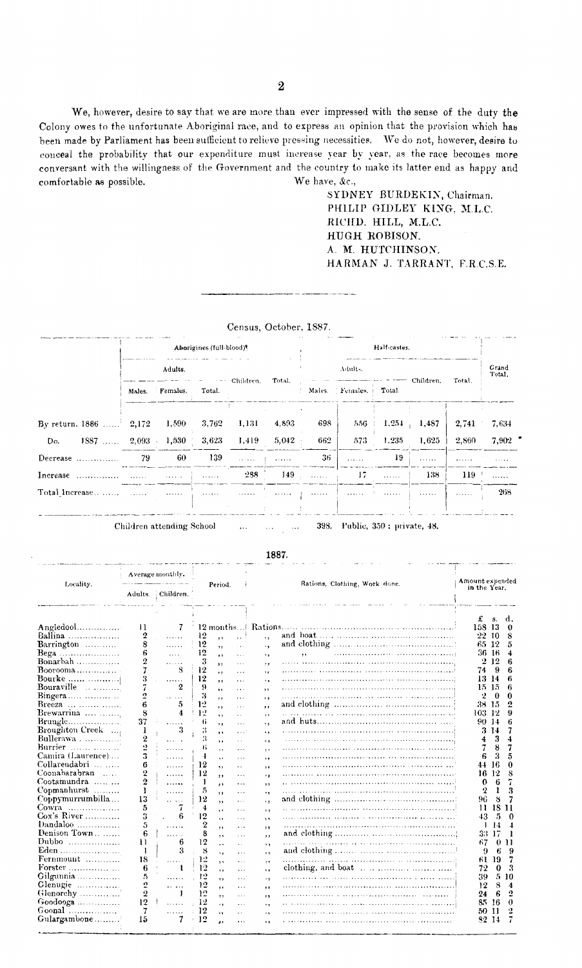We, however, desire to say that we are more than ever impressed with the sense of the duty the Colony owes to the unfortunate Aboriginal race, and to express an opinion that the provision which has been made by Parliament has been sufficient to relieve pressing necessities. We do not, however, desire to conceal the probability that our expenditure must increase year by year, as the race becomes more conversant with the willingness of the Government and the country to make its latter end as happy and comfortable as possible. We have,  $\&c$ .

> SYDNEY BURDEKIN, Chairman. PHILIP GIDLEY KING, M.L.C. RICHD. HILL, M.L.C. HUGH ROBISON. A. M. HUTCHINSON. HARMAN J. TARRANT, F.R.C.S.E.

|                               |           |           |                          | Census, October, 1887. |        |           |                        |              |                 |           |                 |
|-------------------------------|-----------|-----------|--------------------------|------------------------|--------|-----------|------------------------|--------------|-----------------|-----------|-----------------|
|                               |           |           | Aborigines (full-blood)! |                        |        |           |                        | Half-castes. |                 |           |                 |
|                               |           | Adults.   |                          |                        |        |           | Adults.                |              |                 |           | Grand<br>Total. |
|                               | Males.    | Females.  | Total.                   | Children.              | Total. |           | Males. Females. Potal. |              | Children,       | Total.    |                 |
|                               |           |           |                          |                        |        |           |                        |              |                 |           |                 |
| By return. $1886$ 2,172       |           | 1,590     | 3,762                    | 1,131                  | 4,893  | 698       | 5.56                   |              | $1,254$ , 1,487 | 2,741     | 7,634           |
| $1887$ , $2,093$ 1,530<br>Do. |           |           | 3,623                    | 1,419                  | 5,042  | 662       | 573                    | 1,235        | 1,625           | 2,860     | 7,902           |
| Decrease                      | 79        | 60        | 139                      |                        |        | 36        |                        | 19           | .               | 1.1.1.1.1 |                 |
| Increase<br>.                 | 1.1.1.1.1 | 1.1.1.1.1 | 1.1.1.1.1.1              | 288                    | 149    | 1.1.1.1.1 | 17                     | 1.1.1.1.1    | 138             | 119       | .               |
|                               |           | .         |                          |                        | .      | .         | .                      | .            | .               | 1.1.1.1.1 | 268             |
|                               |           |           |                          |                        |        |           |                        |              |                 |           |                 |

ر<br>سال ب

ر<br>موسس موسیقی

Children attending School 398. Public, 350 ; private, 48.

|                                 |                  |                             |                      |                      |                      |                      | 1887.                         |                  |       |                  |
|---------------------------------|------------------|-----------------------------|----------------------|----------------------|----------------------|----------------------|-------------------------------|------------------|-------|------------------|
| Locality.                       |                  | Average monthly.            |                      | Period.              |                      |                      | Rations, Clothing, Work done. | Amount expended  |       |                  |
|                                 |                  | Adults. Children.           |                      |                      |                      |                      |                               | in the Year.     |       |                  |
|                                 |                  |                             |                      |                      |                      |                      |                               | £                | s.    | d.               |
| Angledool                       | 11               | 7                           |                      |                      |                      |                      |                               | 158              | 13    | 0                |
| Ballina                         | $\boldsymbol{2}$ | .                           | 12                   | , ,                  |                      | ٠,                   |                               |                  | 22 10 | 8                |
| Barrington                      | 8                | .                           | 12                   | ,                    | $\sim$ .             | $\cdot$ ,            |                               |                  | 65 12 | 5                |
| Bega                            | 6                | $\ldots$                    | 12                   | , ,                  | $\cdots$             | $\cdot$ ,            | , ,                           | 36               | -16   | 4                |
| Bonarbah                        | 2                | .                           | 3                    | $, \,$               | $\cdots$             | , ,                  |                               | 2                | 12    | 6                |
| Boorooma $\ldots \ldots \ldots$ | 7                | 8                           | 12                   | $, \cdot$            | $\cdots$             | $\ddot{\phantom{1}}$ |                               | 74               | 9     | 6                |
| Bourke                          | 3                | .                           | 12                   | ,,                   | $\cdots$             | $\ddot{\phantom{1}}$ |                               | 13               | 14    | 6                |
| Bouraville                      |                  | 2                           | 9                    | ,,                   | $\cdots$             | $\ddot{\phantom{1}}$ |                               | 15.              | 15    | 6                |
|                                 | 2                | $\alpha \rightarrow \infty$ | 3                    | , ,                  | $\ddotsc$            | $\ddot{\phantom{1}}$ |                               | 2                | 0     | 0                |
| Breeza                          | 6                | 5                           | 12                   | ,,                   | $\ldots$             | , ,                  |                               | 38.              | -15   | 2                |
| Brewarrina $\dots \dots$        | 8                | 4                           | 12                   | $\ddot{\phantom{1}}$ | $\sim$               | $\ddot{\phantom{0}}$ |                               | 103              | -12   | 9                |
|                                 | 37               |                             | 6                    | ٠,                   | $\sim$               | $\cdot$ ,            |                               |                  | 90-14 | 6                |
| Broughton Creek                 | 1                | 3                           | 3                    | , ,                  | $\sim 10^{-1}$       | $\ddot{\phantom{0}}$ |                               | 3                | 14    | 7                |
| Bullerawa                       | 2                |                             | $\ddot{\phantom{a}}$ | ٠,                   | $\sim$               | , ,                  |                               | 4                | 3     | 4                |
| Burrier                         | 2                | .                           | 6                    | $\ddot{\phantom{1}}$ | $\cdots$             | $, \cdot$            |                               | 7                | 8     | 7                |
| Camira (Laurence)               | 3                | .                           | $\overline{1}$       | $\cdot$ .            | .                    | , ,                  |                               | 6                | 3     | 5                |
| Collarendabri                   | 6                | .                           | 12                   | ٠,                   | $\ddot{\phantom{a}}$ | , ,                  |                               | 44               | 16    | $\Omega$         |
| $Coonabarabra$                  | $\boldsymbol{2}$ | .                           | 12                   | $, \,$               | $\cdots$             | $\cdot$ ,            |                               | 16               | 12    | 8                |
| Cootamundra                     | 2                | .                           | 1                    | , ,                  | .                    | ,,                   |                               | 0                | 6     | 7                |
| Copmanhurst                     | ı                | .                           | 5                    | $, \,$               | $\cdots$             | ٠,                   |                               | $\boldsymbol{2}$ | ı     | 3                |
| Copymurrumbilla                 | 13               | $\sim$                      | 12                   | ,,                   | $\cdots$             | $, \cdot$            |                               | 96               | 8     | 7                |
| $Cowra$                         | 5                | 7                           | 4                    | ,,                   | .                    | , ,                  |                               | Ħ                | 18    | 11               |
|                                 | 3                | 6                           | 12                   | $\ddot{\phantom{1}}$ | $\cdots$             | $, \cdot$            |                               | 43               |       | 0                |
| $Dandaloo$                      | 5                | .                           | $\boldsymbol{2}$     | $, \,$               | $\ddotsc$            | $\cdots$             |                               |                  | 14    | $\overline{1}$   |
| Denison Town                    | 6                | .                           | 8                    | $, \cdot$            | $\cdots$             | ,,                   |                               | 33               |       | -1               |
| Dubbo                           | Ħ                | 6                           | 12                   | $\ddot{\phantom{0}}$ | $\sim$               | , ,                  |                               | 67               | 0     | n                |
| $\textbf{Eden}$                 | 1                | 3                           | 8                    | ٠,                   | $\cdots$             | , ,                  |                               | 9                | 6     | 9                |
| Fernmount                       | 18               | .                           | 12                   | $, \cdot$            | $\cdots$             | $, \,$               |                               | 61               | 19    | 7                |
| Forster                         | 6                | ł                           | 12                   | $, \, ,$             | .                    | ٠,                   |                               | 72               | 0     | 3                |
| Gilgunnia                       | 5                |                             | 12                   | , ,                  | $\cdots$ .           | $\cdot$              |                               | 39               | 5     | -10              |
| Glenugie                        | 2                |                             | 12                   | ,,                   | $\cdots$             | $, \,$               |                               | 12               | 8     | $\boldsymbol{4}$ |
| Glenorchy                       | $\overline{2}$   | -1                          | 12                   | $\ddot{\phantom{1}}$ | $\cdots$             | ,,                   |                               | 24               | 6     | $\overline{2}$   |
| Goodooga                        | 12               | .                           | 12                   | $\ddot{\phantom{0}}$ | $\cdots$             | ٠,                   |                               | 85               | 16    | 0                |
| $G$ oonal                       | 7                | .                           | 12                   | ٠,                   | $\sim$               | ٠,                   |                               | 50               | 11    | 2                |
| Gulargambone                    | 15               | 7                           | 12                   | ,,                   | .                    | ٠,                   |                               | 82               | 14    |                  |
|                                 |                  |                             |                      |                      |                      |                      |                               |                  |       |                  |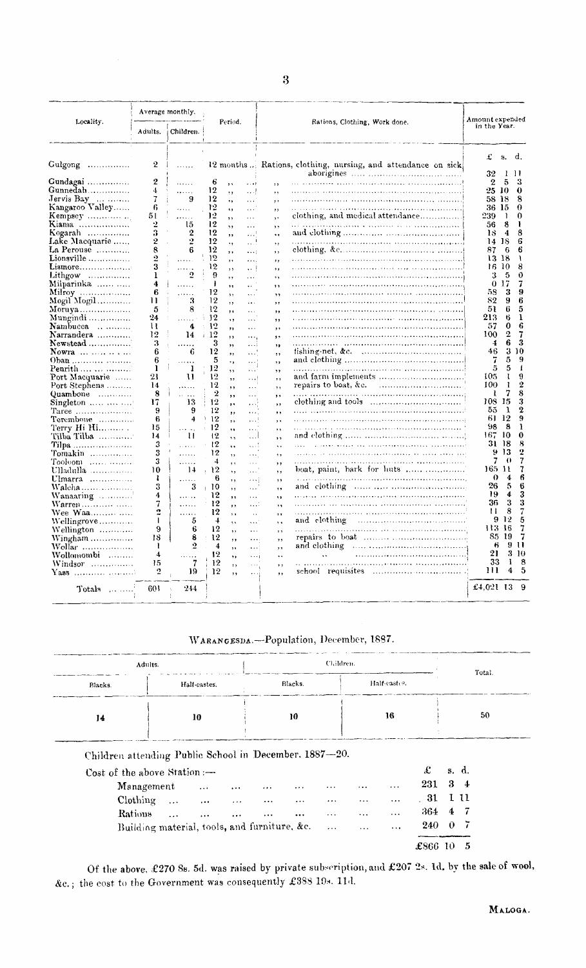|                                    |                   | Average monthly.       |                |                      |                  |                      |                                                                             |                                 |                  |                         |
|------------------------------------|-------------------|------------------------|----------------|----------------------|------------------|----------------------|-----------------------------------------------------------------------------|---------------------------------|------------------|-------------------------|
| Locality.                          | Adults.           | Children.              |                | Period.              |                  |                      | Rations, Clothing, Work done.                                               | Amount expended<br>in the Year. |                  |                         |
| Gulgong                            | 2                 | .                      |                |                      |                  |                      | 12 months Rations, clothing, nursing, and attendance on sick,               | £<br>32                         | $S_{\star}$<br>1 | d.<br>11                |
| Gundagai                           | 2                 | .                      | 6              | $, \cdot$            | $\cdots$         | , ,                  |                                                                             | $\boldsymbol{2}$                | 5                | 3                       |
| Gunnedah                           | 4                 | .                      | 12             | , ,                  | . 1              | ٠,                   |                                                                             |                                 | 25 10            | $\bf o$                 |
| Jervis Bay                         | 7                 | 9                      | 12             | ٠,                   | $\cdots$         | ,,                   |                                                                             |                                 | 58 18            | 8                       |
| Kangaroo Valley                    | 6                 | . <i>.</i>             | 12             | ,,                   | $\cdots$         | ,,                   |                                                                             |                                 | 36 15            | 0                       |
| $Kempsey$                          | 51                | 1.1.1.1                | 12             | , ,                  | $\cdots$         | $, \cdot$            | clothing, and medical attendance                                            | 239                             | J.               | 0                       |
| Kiama                              | 2                 | 15                     | 12             | ٠,                   | $\cdots$         | ,                    |                                                                             | 56                              | 8                | ł                       |
| Kogarah                            | 3                 | $\overline{2}$         | 12             | ,,                   | المعاملة         | ٠,                   |                                                                             | 18                              | $\boldsymbol{4}$ | 8                       |
| Lake Macouarie                     | 2                 | $\boldsymbol{2}$       | 12             | ٠,                   | . !              | 99                   |                                                                             | 14                              | 18               | 6                       |
| La Perouse                         | 8                 | 6                      | 12             | ,,                   |                  | ,,                   |                                                                             | 87                              | 6                | 6                       |
| $Lionsville$                       | 2                 | .                      | 12             | , ,                  | $\cdots$         | , ,                  |                                                                             | 13.                             | -18              | J.                      |
|                                    | 3                 | .<br>$\overline{2}$    | 12             | ,,                   | ., i             | ٠,                   |                                                                             | 16                              | 10               | 8                       |
|                                    | ı<br>4            |                        | 9<br>ł         | ,,                   | $\cdots$         | ٠,                   |                                                                             | 3<br>0                          | 5<br>17          | 0<br>7                  |
| Milparinka                         | 6                 |                        | 12             | ٠,                   | $\ddotsc$        | , ,                  |                                                                             | 58                              | 3                | 9                       |
| Milroy                             | П                 | 3                      | 12             | ٠,                   | $\cdots$         | ,,                   |                                                                             | 82                              | 9                | 6                       |
| Mogil Mogil<br>Moruya              | 5                 | 8                      | 12             | ,,                   | $\cdots$         | , ,                  |                                                                             | 51                              | 6                | 5                       |
| Mungindi ,                         | 24                | . 1                    | -12            | $, \,$               | $\ldots$         | ,,                   |                                                                             | 213                             | 6                | ı                       |
| Nambucca                           | П                 | 4                      | 12             | , ,                  | $\ldots$         | ,,                   |                                                                             | 57                              | 0                | 6                       |
| Narrandera                         | 12                | 14                     | 12             | ,,                   | $\cdots$         | ,,                   |                                                                             | 100                             | $\overline{2}$   | 7                       |
| Newstead                           | 3                 | .                      | 3              | $\cdots$             | $\cdots$<br>1.11 | $, \cdot$            |                                                                             | 4                               | 6                | 3                       |
| <b>Nowra</b>                       | 6                 | 6                      | 12             | ,,<br>,,             |                  | $\ddot{\phantom{1}}$ |                                                                             | 46                              | 3                | 10                      |
|                                    | 6                 | .                      | 5              | ٠,                   | $\cdots$         | , ,                  |                                                                             | 7                               | 5                | 9                       |
| <b>Penrith</b>                     | 1                 | 1                      | 12             | 55                   | $\sim$ $\sim$    | ,,<br>,,             |                                                                             | 5                               | 5                | $\mathbf{1}$            |
| Port Macquarie                     | 21                | u                      | 12             | ,,                   | $\ldots$ )       | ,,                   | and farm implements                                                         | 105                             | Ł                | 9                       |
| Port Stephens                      | 14                | .                      | 12             | ,,                   | $\cdots$         | , ,                  | repairs to boat, &c.                                                        | 100                             | r                | $\mathbf{2}$            |
| Quambone                           | 8                 | $\mathbf{1}$ . The set | 2              | ,,                   | $\cdots$         | $, \,$               |                                                                             | ı                               | 7                | 8                       |
| Singleton $\dots \dots$            | 17                | 13                     | 12             | ,,                   | $\cdots$         | ,,                   | clothing and tools $\ldots, \ldots, \ldots, \ldots, \ldots, \ldots, \ldots$ | 108                             | -15              | 3                       |
| Taree                              | 9                 | 9                      | 12             | ,,                   | .,               | ,,                   |                                                                             | 55                              | ı                | 2                       |
|                                    | 6                 | 4                      | 12             | ,,                   | أباده            | ,,                   |                                                                             | 61                              | 12               | 9                       |
| Terry Hi Hi                        | 15                | $\cdots$               | 12             | ٠,                   | $\cdots$         | , ,                  |                                                                             | 98                              | 8                | ı                       |
| Tilba Tilba                        | 14                | -11                    | 12             | $\ddot{\phantom{1}}$ | الدب             | , ,                  |                                                                             | 167                             | 10               | $\bf{0}$                |
| Tilpa                              | 3                 | .                      | 12             | ٠,                   |                  | ٠,                   |                                                                             |                                 | 31 18            | 8                       |
| $Tomakin$                          | 3                 | .                      | 12             | , ,                  | $\ldots$         | ٠,                   |                                                                             | 9                               | 13               | $\overline{\mathbf{2}}$ |
| $Tooloon$                          | 3                 | .                      | $\overline{4}$ | $, \cdot$            | $\cdots$         | ,,                   |                                                                             | 7                               | $_{0}$           | 7                       |
| Ulladull <b>a</b>                  | 10                | 14                     | 12             | ٠,                   | $\ldots$         | ,,                   | boat, paint, bark for huts $\ldots$ , $\ldots$                              | 165.                            | -11              | 7                       |
| $U$ lmarra                         | ı                 | .                      | 6              | ٠,                   | $\cdots$         | $, \,$               |                                                                             | 0                               | 4                | 6                       |
| Walcha                             | 3                 | 3                      | 10             | ,,                   | $\cdots$         | ,                    |                                                                             | 26                              | 5<br>4           | 6<br>3                  |
| Wanaaring                          | 4                 | 1.1.1.1                | 12             | $, \,$               | $\cdots$         | ,,                   |                                                                             | 19<br>36                        | 3                | 3                       |
| Warren                             | 7                 | .                      | 12             | ,,                   | $\cdots$         | $, \,$               |                                                                             | Ħ                               | 8                | 7                       |
| Wee Waa                            | 2<br>$\mathbf{I}$ | .                      | 12             | , ,                  | $\sim$ $\sim$    | ,,                   |                                                                             |                                 | 912              | 5                       |
| Wellingrove                        | 9                 | 5<br>6                 | 4<br>12        | ţ.                   | $\cdots$         | $, \cdot$            | and clothing                                                                | 113.                            | 16               | 7                       |
| Wellington                         | 18                | 8                      | 12             | ,,                   | $\ldots$         | , ,                  |                                                                             |                                 | 85 19            | 7                       |
| Wingham<br>Wollar                  | ı                 | $\overline{2}$         | 4              | ,,                   | $\ldots$         | $, \,$               |                                                                             | 6                               |                  | 911                     |
| Wollomombi                         | 4                 |                        | 12             | ,,                   | $\cdots$         | $, \,$               |                                                                             | 21                              |                  | 3 10                    |
| Windsor                            | 15                | 7                      | 12             | ,,                   | $\cdots$         | ٠.                   |                                                                             | 33                              | 1                | 8                       |
| Yass $\ldots \ldots \ldots \ldots$ | 2                 | 19                     | 12             | ,,                   | $\cdots$         | ,,                   |                                                                             | 111                             | 4                | 5                       |
|                                    |                   |                        |                | ,,                   | . j              | ,,                   |                                                                             |                                 |                  |                         |
| Totals                             | 601               | 244                    |                |                      |                  |                      |                                                                             | £4,021 13 $9$                   |                  |                         |

## WARANGESDA. -- Population, December, 1887.

| Adults. |              | Children. |              | Total. |
|---------|--------------|-----------|--------------|--------|
| Blacks. | Half-castes. | Blacks.   | Half-castes. |        |
| ______  | 10           | 10        | 16           | 50     |

Children attending Public School in December. 1887-20.

| Management                                   |           | $\ddotsc$ | $\ddotsc$                     | $\cdots$ | $\cdots$ | $\cdots$ | $\cdots$ | $\cdots$              | 231 | $3\quad 4$      |
|----------------------------------------------|-----------|-----------|-------------------------------|----------|----------|----------|----------|-----------------------|-----|-----------------|
| $\text{Clothing}$                            |           |           | $\epsilon \rightarrow \infty$ | $\cdots$ | $\cdots$ | $\cdots$ | $\cdots$ | $\cdots$              | 31  | 1 11            |
| Rations                                      | $\ddotsc$ |           |                               | $\cdots$ | $\cdots$ | $\cdots$ | $\cdots$ | $\dddot{\phantom{0}}$ | 364 | $4\overline{7}$ |
| Building material, tools, and furniture, &c. |           |           |                               |          |          | $\cdots$ | $\cdots$ | 1.11                  | 240 | 0 <sub>7</sub>  |

Of the above, £270 8s. 5d. was raised by private subscription, and **£207** 2s. 1**d.** by the sale of **wool,**  &c.; the cost to the Government was consequently £388 19s. l1d.